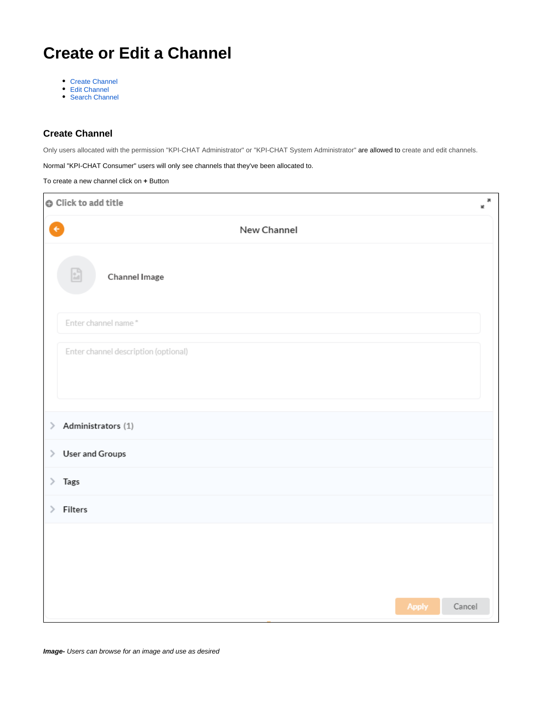# **Create or Edit a Channel**

- [Create Channel](#page-0-0)
- [Edit Channel](#page-2-0)
- [Search Channel](#page-3-0)

### <span id="page-0-0"></span>**Create Channel**

Only users allocated with the permission "KPI-CHAT Administrator" or "KPI-CHAT System Administrator" are allowed to create and edit channels.

Normal "KPI-CHAT Consumer" users will only see channels that they've been allocated to.

#### To create a new channel click on **+** Button

|     | Click to add title<br>л<br>Ħ.        |  |  |  |  |
|-----|--------------------------------------|--|--|--|--|
| ٠ę. | New Channel                          |  |  |  |  |
|     | 회<br>Channel Image                   |  |  |  |  |
|     | Enter channel name*                  |  |  |  |  |
|     | Enter channel description (optional) |  |  |  |  |
|     | $\geq$ Administrators (1)            |  |  |  |  |
|     | $\angle$ User and Groups             |  |  |  |  |
|     | $\angle$ Tags                        |  |  |  |  |
|     | $\angle$ Filters                     |  |  |  |  |
|     |                                      |  |  |  |  |
|     |                                      |  |  |  |  |
|     |                                      |  |  |  |  |
|     | Cancel<br><b>Apply</b>               |  |  |  |  |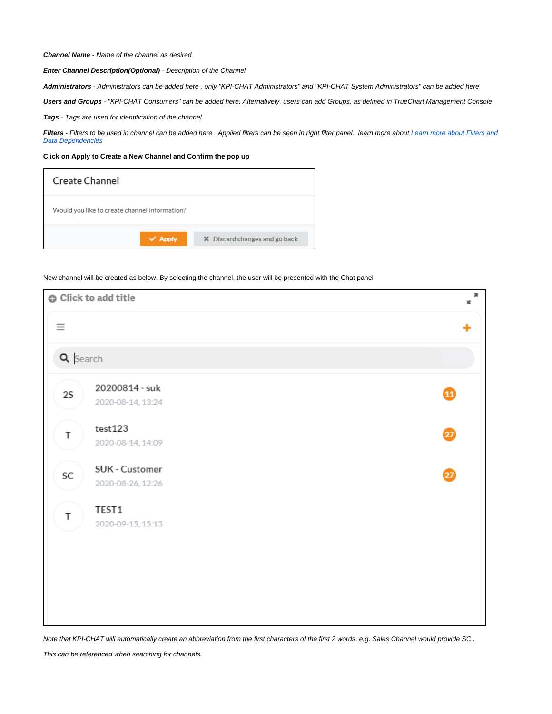**Channel Name** - Name of the channel as desired

**Enter Channel Description(Optional)** - Description of the Channel

**Administrators** - Administrators can be added here , only "KPI-CHAT Administrators" and "KPI-CHAT System Administrators" can be added here

**Users and Groups** - "KPI-CHAT Consumers" can be added here. Alternatively, users can add Groups, as defined in TrueChart Management Console

**Tags** - Tags are used for identification of the channel

Filters - Filters to be used in channel can be added here . Applied filters can be seen in right filter panel. learn more about Learn more about Filters and [Data Dependencies](https://dev.highcoordination.de/wiki/display/dkb/Filters+and+Data+Dependencies)

**Click on Apply to Create a New Channel and Confirm the pop up**

| <b>Create Channel</b>                         |                                      |  |  |  |
|-----------------------------------------------|--------------------------------------|--|--|--|
| Would you like to create channel information? |                                      |  |  |  |
| $\vee$ Apply                                  | <b>※</b> Discard changes and go back |  |  |  |

New channel will be created as below. By selecting the channel, the user will be presented with the Chat panel

|             | Click to add title                  |  | л<br>ĸ  |
|-------------|-------------------------------------|--|---------|
| $\equiv$    |                                     |  |         |
| Q Search    |                                     |  |         |
| 2S          | 20200814 - suk<br>2020-08-14, 13:24 |  | ⊕       |
| $\mathsf T$ | test123<br>2020-08-14, 14:09        |  | Ø       |
| SC          | SUK - Customer<br>2020-08-26, 12:26 |  | $\bf z$ |
| $\mathsf T$ | TEST1<br>2020-09-15, 15:13          |  |         |
|             |                                     |  |         |

Note that KPI-CHAT will automatically create an abbreviation from the first characters of the first 2 words. e.g. Sales Channel would provide SC .

This can be referenced when searching for channels.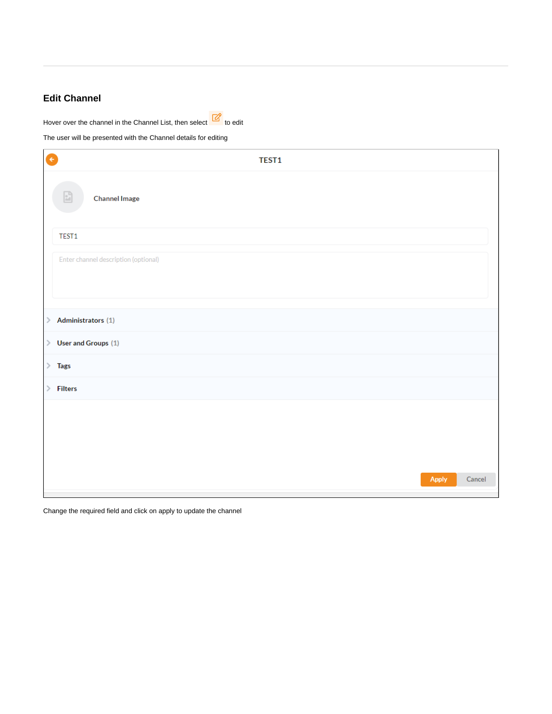# <span id="page-2-0"></span>**Edit Channel**

Hover over the channel in the Channel List, then select  $\overline{\mathcal{C}}$  to edit

The user will be presented with the Channel details for editing

| G | TEST1                                |
|---|--------------------------------------|
|   | 뵈<br><b>Channel Image</b>            |
|   | TEST1                                |
|   | Enter channel description (optional) |
|   | > Administrators (1)                 |
|   | > User and Groups (1)                |
|   | $\angle$ Tags                        |
|   | $\angle$ Filters                     |
|   |                                      |
|   | Apply<br>Cancel                      |

Change the required field and click on apply to update the channel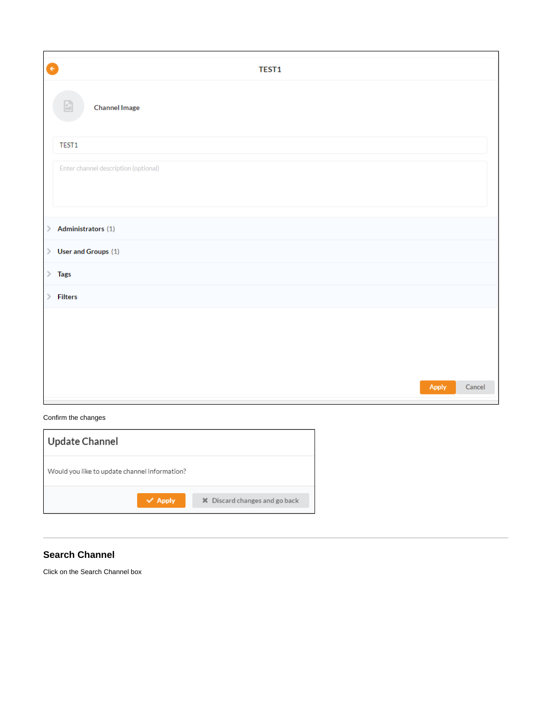| G<br>TEST1                           |  |  |  |  |
|--------------------------------------|--|--|--|--|
| <b>Channel Image</b>                 |  |  |  |  |
| TEST1                                |  |  |  |  |
| Enter channel description (optional) |  |  |  |  |
|                                      |  |  |  |  |
| > Administrators (1)                 |  |  |  |  |
| > User and Groups (1)                |  |  |  |  |
| $\angle$ Tags                        |  |  |  |  |
| $\angle$ Filters                     |  |  |  |  |
|                                      |  |  |  |  |
| Cancel<br>Apply                      |  |  |  |  |
| Confirm the changes                  |  |  |  |  |
| Update Channel                       |  |  |  |  |



## <span id="page-3-0"></span>**Search Channel**

Click on the Search Channel box